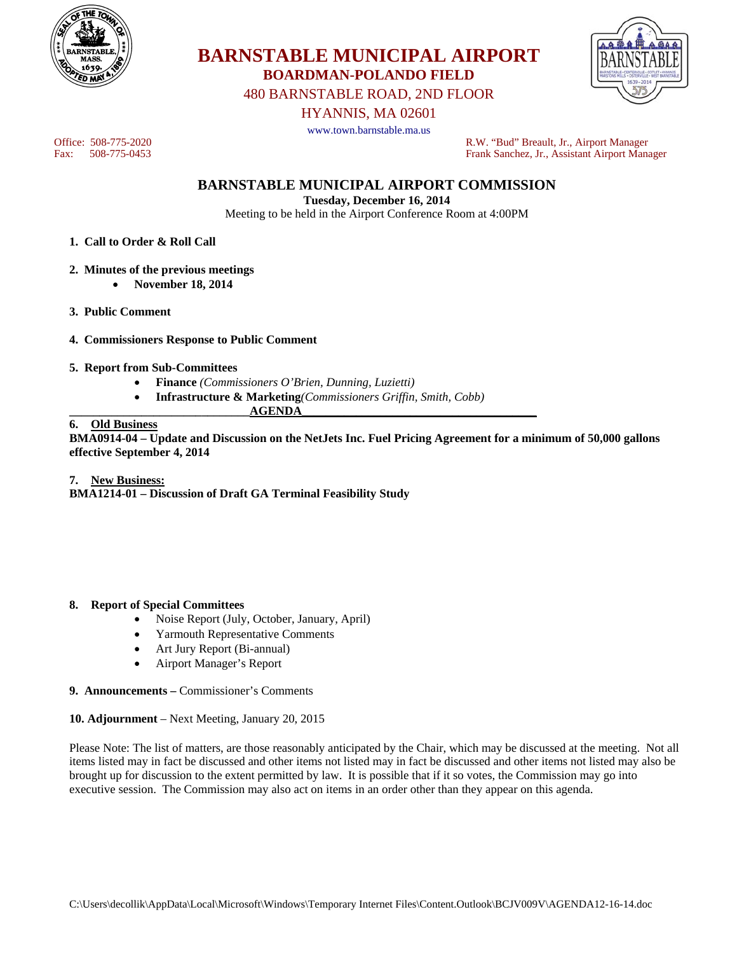



480 BARNSTABLE ROAD, 2ND FLOOR

HYANNIS, MA 02601

**BARNSTABLE MUNICIPAL AIRPORT BOARDMAN-POLANDO FIELD** 

www.town.barnstable.ma.us

Office: 508-775-2020 R.W. "Bud" Breault, Jr., Airport Manager<br>Fank Sanchez, Jr., Assistant Airport Manager Frank Sanchez, Jr., Assistant Airport Manager

**BARNSTABLE MUNICIPAL AIRPORT COMMISSION** 

**Tuesday, December 16, 2014** 

Meeting to be held in the Airport Conference Room at 4:00PM

- **1. Call to Order & Roll Call**
- **2. Minutes of the previous meetings** 
	- **November 18, 2014**
- **3. Public Comment**
- **4. Commissioners Response to Public Comment**
- **5. Report from Sub-Committees** 
	- **Finance** *(Commissioners O'Brien, Dunning, Luzietti)*
	- **Infrastructure & Marketing***(Commissioners Griffin, Smith, Cobb)*

## **\_\_\_\_\_\_\_\_\_\_\_\_\_\_\_\_\_\_\_\_\_\_\_\_\_\_\_\_\_\_AGENDA\_\_\_\_\_\_\_\_\_\_\_\_\_\_\_\_\_\_\_\_\_\_\_\_\_\_\_\_\_\_\_\_\_\_\_\_\_\_\_**

# **6. Old Business**

**BMA0914-04 – Update and Discussion on the NetJets Inc. Fuel Pricing Agreement for a minimum of 50,000 gallons effective September 4, 2014** 

### **7. New Business:**

**BMA1214-01 – Discussion of Draft GA Terminal Feasibility Study** 

### **8. Report of Special Committees**

- Noise Report (July, October, January, April)
- Yarmouth Representative Comments
- Art Jury Report (Bi-annual)
- Airport Manager's Report

#### **9. Announcements –** Commissioner's Comments

#### **10. Adjournment** – Next Meeting, January 20, 2015

Please Note: The list of matters, are those reasonably anticipated by the Chair, which may be discussed at the meeting. Not all items listed may in fact be discussed and other items not listed may in fact be discussed and other items not listed may also be brought up for discussion to the extent permitted by law. It is possible that if it so votes, the Commission may go into executive session. The Commission may also act on items in an order other than they appear on this agenda.